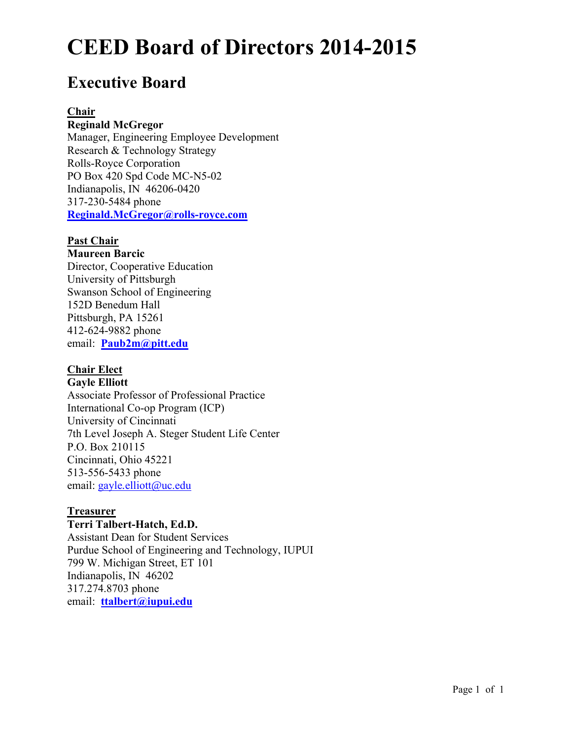# **Executive Board**

#### **Chair**

#### **Reginald McGregor**

Manager, Engineering Employee Development Research & Technology Strategy Rolls-Royce Corporation PO Box 420 Spd Code MC-N5-02 Indianapolis, IN 46206-0420 317-230-5484 phone **Reginald.McGregor@rolls-royce.com**

# **Past Chair**

#### **Maureen Barcic**

Director, Cooperative Education University of Pittsburgh Swanson School of Engineering 152D Benedum Hall Pittsburgh, PA 15261 412-624-9882 phone email: **Paub2m@pitt.edu**

# **Chair Elect**

# **Gayle Elliott**  Associate Professor of Professional Practice International Co-op Program (ICP) University of Cincinnati 7th Level Joseph A. Steger Student Life Center P.O. Box 210115 Cincinnati, Ohio 45221 513-556-5433 phone email: gayle*.*elliott*@*uc.edu

# **Treasurer**

# **Terri Talbert-Hatch, Ed.D.**

Assistant Dean for Student Services Purdue School of Engineering and Technology, IUPUI 799 W. Michigan Street, ET 101 Indianapolis, IN 46202 317.274.8703 phone email: **ttalbert@iupui.edu**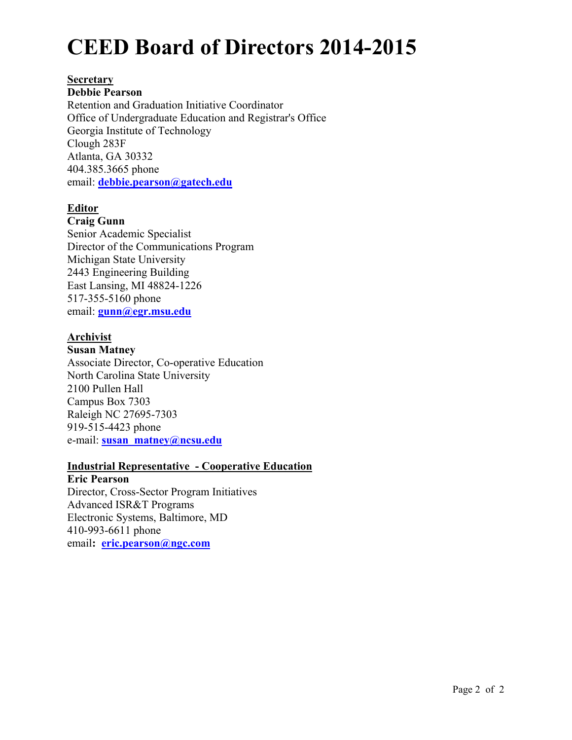#### **Secretary**

#### **Debbie Pearson**

Retention and Graduation Initiative Coordinator Office of Undergraduate Education and Registrar's Office Georgia Institute of Technology Clough 283F Atlanta, GA 30332 404.385.3665 phone email: **debbie.pearson@gatech.edu**

# **Editor**

#### **Craig Gunn**

Senior Academic Specialist Director of the Communications Program Michigan State University 2443 Engineering Building East Lansing, MI 48824-1226 517-355-5160 phone email: **gunn@egr.msu.edu** 

# **Archivist**

#### **Susan Matney**

Associate Director, Co-operative Education North Carolina State University 2100 Pullen Hall Campus Box 7303 Raleigh NC 27695-7303 919-515-4423 phone e-mail: **susan\_matney@ncsu.edu**

#### **Industrial Representative - Cooperative Education**

**Eric Pearson** Director, Cross-Sector Program Initiatives Advanced ISR&T Programs Electronic Systems, Baltimore, MD 410-993-6611 phone email**: eric.pearson@ngc.com**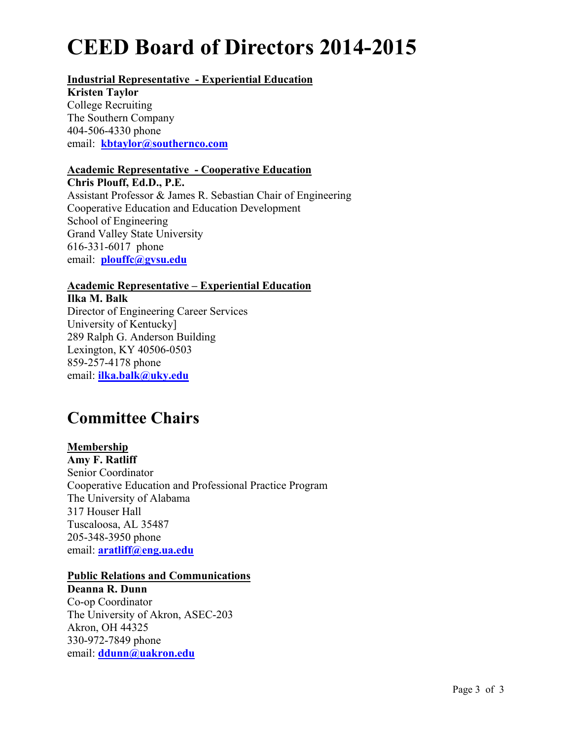# **Industrial Representative - Experiential Education**

**Kristen Taylor** College Recruiting The Southern Company 404-506-4330 phone email: **kbtaylor@southernco.com**

### **Academic Representative - Cooperative Education**

**Chris Plouff, Ed.D., P.E.**  Assistant Professor & James R. Sebastian Chair of Engineering Cooperative Education and Education Development School of Engineering Grand Valley State University 616-331-6017 phone email: **plouffc@gvsu.edu** 

# **Academic Representative – Experiential Education**

**Ilka M. Balk** Director of Engineering Career Services University of Kentucky] 289 Ralph G. Anderson Building Lexington, KY 40506-0503 859-257-4178 phone email: **ilka.balk@uky.edu**

# **Committee Chairs**

# **Membership**

**Amy F. Ratliff**  Senior Coordinator Cooperative Education and Professional Practice Program The University of Alabama 317 Houser Hall Tuscaloosa, AL 35487 205-348-3950 phone email: **aratliff@eng.ua.edu**

#### **Public Relations and Communications**

**Deanna R. Dunn** Co-op Coordinator The University of Akron, ASEC-203 Akron, OH 44325 330-972-7849 phone email: **ddunn@uakron.edu**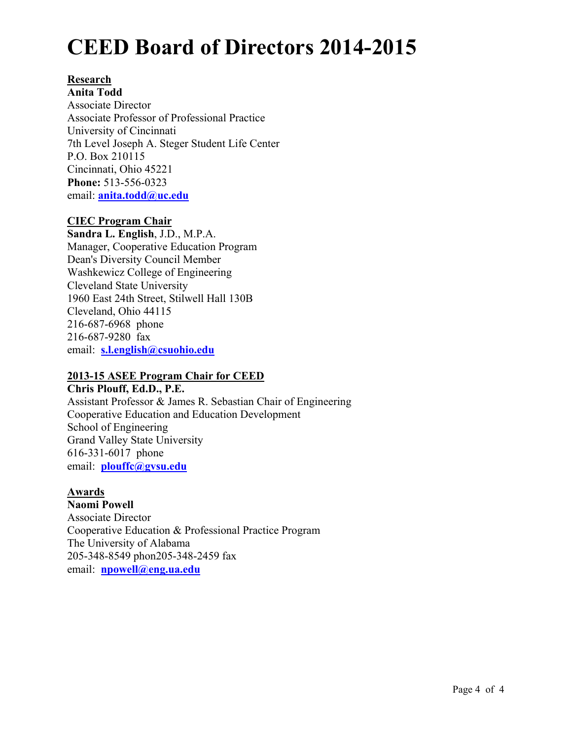### **Research**

**Anita Todd**  Associate Director Associate Professor of Professional Practice University of Cincinnati 7th Level Joseph A. Steger Student Life Center P.O. Box 210115 Cincinnati, Ohio 45221 **Phone:** 513-556-0323 email: **anita.todd@uc.edu**

# **CIEC Program Chair**

**Sandra L. English**, J.D., M.P.A. Manager, Cooperative Education Program Dean's Diversity Council Member Washkewicz College of Engineering Cleveland State University 1960 East 24th Street, Stilwell Hall 130B Cleveland, Ohio 44115 216-687-6968 phone 216-687-9280 fax email: **s.l.english@csuohio.edu**

# **2013-15 ASEE Program Chair for CEED**

**Chris Plouff, Ed.D., P.E.**  Assistant Professor & James R. Sebastian Chair of Engineering Cooperative Education and Education Development School of Engineering Grand Valley State University 616-331-6017 phone email: **plouffc@gvsu.edu** 

# **Awards**

**Naomi Powell**  Associate Director Cooperative Education & Professional Practice Program The University of Alabama 205-348-8549 phon205-348-2459 fax email: **npowell@eng.ua.edu**